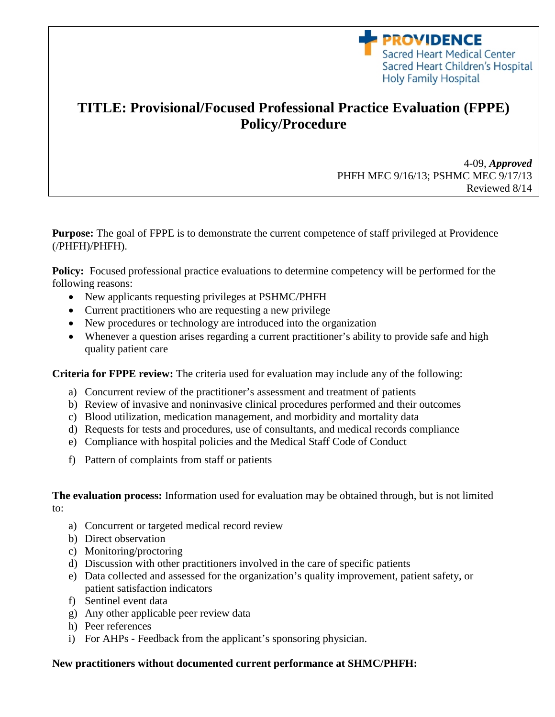

# **TITLE: Provisional/Focused Professional Practice Evaluation (FPPE) Policy/Procedure**

4-09, *Approved* PHFH MEC 9/16/13; PSHMC MEC 9/17/13 Reviewed 8/14

**Purpose:** The goal of FPPE is to demonstrate the current competence of staff privileged at Providence (/PHFH)/PHFH).

**Policy:** Focused professional practice evaluations to determine competency will be performed for the following reasons:

- New applicants requesting privileges at PSHMC/PHFH
- Current practitioners who are requesting a new privilege
- New procedures or technology are introduced into the organization
- Whenever a question arises regarding a current practitioner's ability to provide safe and high quality patient care

**Criteria for FPPE review:** The criteria used for evaluation may include any of the following:

- a) Concurrent review of the practitioner's assessment and treatment of patients
- b) Review of invasive and noninvasive clinical procedures performed and their outcomes
- c) Blood utilization, medication management, and morbidity and mortality data
- d) Requests for tests and procedures, use of consultants, and medical records compliance
- e) Compliance with hospital policies and the Medical Staff Code of Conduct
- f) Pattern of complaints from staff or patients

**The evaluation process:** Information used for evaluation may be obtained through, but is not limited to:

- a) Concurrent or targeted medical record review
- b) Direct observation
- c) Monitoring/proctoring
- d) Discussion with other practitioners involved in the care of specific patients
- e) Data collected and assessed for the organization's quality improvement, patient safety, or patient satisfaction indicators
- f) Sentinel event data
- g) Any other applicable peer review data
- h) Peer references
- i) For AHPs Feedback from the applicant's sponsoring physician.

# **New practitioners without documented current performance at SHMC/PHFH:**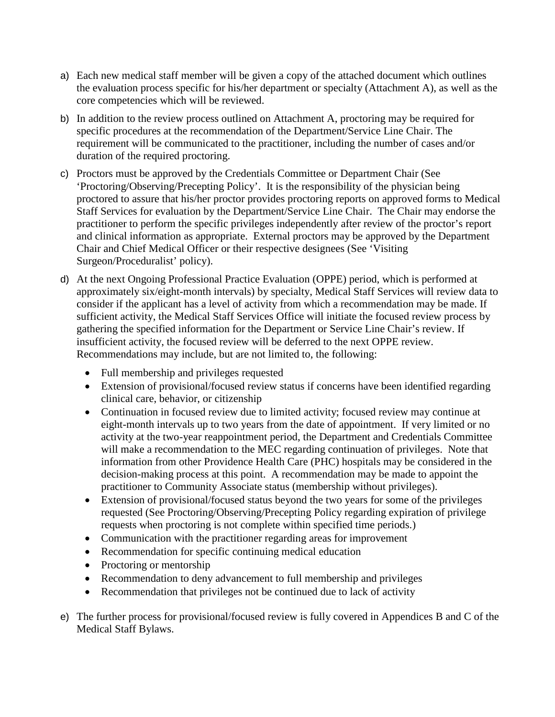- a) Each new medical staff member will be given a copy of the attached document which outlines the evaluation process specific for his/her department or specialty (Attachment A), as well as the core competencies which will be reviewed.
- b) In addition to the review process outlined on Attachment A, proctoring may be required for specific procedures at the recommendation of the Department/Service Line Chair. The requirement will be communicated to the practitioner, including the number of cases and/or duration of the required proctoring.
- c) Proctors must be approved by the Credentials Committee or Department Chair (See 'Proctoring/Observing/Precepting Policy'. It is the responsibility of the physician being proctored to assure that his/her proctor provides proctoring reports on approved forms to Medical Staff Services for evaluation by the Department/Service Line Chair. The Chair may endorse the practitioner to perform the specific privileges independently after review of the proctor's report and clinical information as appropriate. External proctors may be approved by the Department Chair and Chief Medical Officer or their respective designees (See 'Visiting Surgeon/Proceduralist' policy).
- d) At the next Ongoing Professional Practice Evaluation (OPPE) period, which is performed at approximately six/eight-month intervals) by specialty, Medical Staff Services will review data to consider if the applicant has a level of activity from which a recommendation may be made. If sufficient activity, the Medical Staff Services Office will initiate the focused review process by gathering the specified information for the Department or Service Line Chair's review. If insufficient activity, the focused review will be deferred to the next OPPE review. Recommendations may include, but are not limited to, the following:
	- Full membership and privileges requested
	- Extension of provisional/focused review status if concerns have been identified regarding clinical care, behavior, or citizenship
	- Continuation in focused review due to limited activity; focused review may continue at eight-month intervals up to two years from the date of appointment. If very limited or no activity at the two-year reappointment period, the Department and Credentials Committee will make a recommendation to the MEC regarding continuation of privileges. Note that information from other Providence Health Care (PHC) hospitals may be considered in the decision-making process at this point. A recommendation may be made to appoint the practitioner to Community Associate status (membership without privileges).
	- Extension of provisional/focused status beyond the two years for some of the privileges requested (See Proctoring/Observing/Precepting Policy regarding expiration of privilege requests when proctoring is not complete within specified time periods.)
	- Communication with the practitioner regarding areas for improvement
	- Recommendation for specific continuing medical education
	- Proctoring or mentorship
	- Recommendation to deny advancement to full membership and privileges
	- Recommendation that privileges not be continued due to lack of activity
- e) The further process for provisional/focused review is fully covered in Appendices B and C of the Medical Staff Bylaws.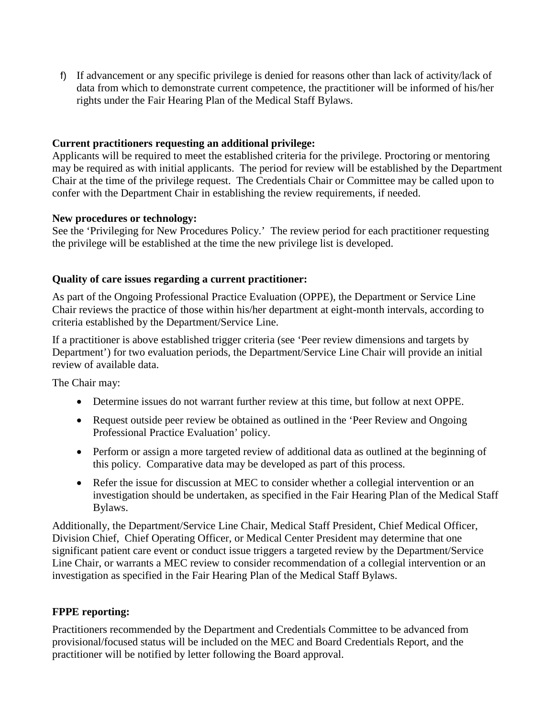f) If advancement or any specific privilege is denied for reasons other than lack of activity/lack of data from which to demonstrate current competence, the practitioner will be informed of his/her rights under the Fair Hearing Plan of the Medical Staff Bylaws.

### **Current practitioners requesting an additional privilege:**

Applicants will be required to meet the established criteria for the privilege. Proctoring or mentoring may be required as with initial applicants. The period for review will be established by the Department Chair at the time of the privilege request. The Credentials Chair or Committee may be called upon to confer with the Department Chair in establishing the review requirements, if needed.

### **New procedures or technology:**

See the 'Privileging for New Procedures Policy.' The review period for each practitioner requesting the privilege will be established at the time the new privilege list is developed.

### **Quality of care issues regarding a current practitioner:**

As part of the Ongoing Professional Practice Evaluation (OPPE), the Department or Service Line Chair reviews the practice of those within his/her department at eight-month intervals, according to criteria established by the Department/Service Line.

If a practitioner is above established trigger criteria (see 'Peer review dimensions and targets by Department') for two evaluation periods, the Department/Service Line Chair will provide an initial review of available data.

The Chair may:

- Determine issues do not warrant further review at this time, but follow at next OPPE.
- Request outside peer review be obtained as outlined in the 'Peer Review and Ongoing Professional Practice Evaluation' policy.
- Perform or assign a more targeted review of additional data as outlined at the beginning of this policy. Comparative data may be developed as part of this process.
- Refer the issue for discussion at MEC to consider whether a collegial intervention or an investigation should be undertaken, as specified in the Fair Hearing Plan of the Medical Staff Bylaws.

Additionally, the Department/Service Line Chair, Medical Staff President, Chief Medical Officer, Division Chief, Chief Operating Officer, or Medical Center President may determine that one significant patient care event or conduct issue triggers a targeted review by the Department/Service Line Chair, or warrants a MEC review to consider recommendation of a collegial intervention or an investigation as specified in the Fair Hearing Plan of the Medical Staff Bylaws.

# **FPPE reporting:**

Practitioners recommended by the Department and Credentials Committee to be advanced from provisional/focused status will be included on the MEC and Board Credentials Report, and the practitioner will be notified by letter following the Board approval.